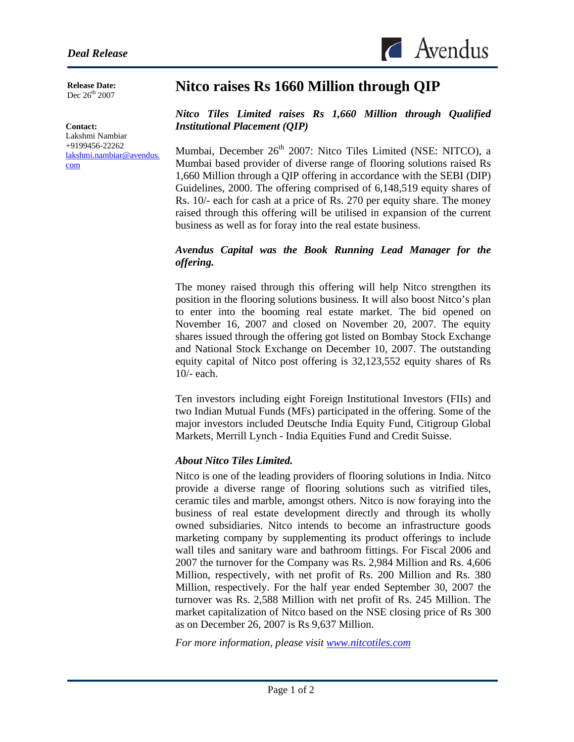**Release Date:**  Dec 26<sup>th</sup> 2007

#### **Contact:**

l

Lakshmi Nambiar +9199456-22262 [lakshmi.nambiar@avendus.](mailto:lakshmi.nambiar@avendus.com) [com](mailto:lakshmi.nambiar@avendus.com) 

# **Nitco raises Rs 1660 Million through QIP**

*Nitco Tiles Limited raises Rs 1,660 Million through Qualified Institutional Placement (QIP)* 

 $\triangle$  Avendus

Mumbai, December 26<sup>th</sup> 2007: Nitco Tiles Limited (NSE: NITCO), a Mumbai based provider of diverse range of flooring solutions raised Rs 1,660 Million through a QIP offering in accordance with the SEBI (DIP) Guidelines, 2000. The offering comprised of 6,148,519 equity shares of Rs. 10/- each for cash at a price of Rs. 270 per equity share. The money raised through this offering will be utilised in expansion of the current business as well as for foray into the real estate business.

## *Avendus Capital was the Book Running Lead Manager for the offering.*

The money raised through this offering will help Nitco strengthen its position in the flooring solutions business. It will also boost Nitco's plan to enter into the booming real estate market. The bid opened on November 16, 2007 and closed on November 20, 2007. The equity shares issued through the offering got listed on Bombay Stock Exchange and National Stock Exchange on December 10, 2007. The outstanding equity capital of Nitco post offering is 32,123,552 equity shares of Rs 10/- each.

Ten investors including eight Foreign Institutional Investors (FIIs) and two Indian Mutual Funds (MFs) participated in the offering. Some of the major investors included Deutsche India Equity Fund, Citigroup Global Markets, Merrill Lynch - India Equities Fund and Credit Suisse.

## *About Nitco Tiles Limited.*

Nitco is one of the leading providers of flooring solutions in India. Nitco provide a diverse range of flooring solutions such as vitrified tiles, ceramic tiles and marble, amongst others. Nitco is now foraying into the business of real estate development directly and through its wholly owned subsidiaries. Nitco intends to become an infrastructure goods marketing company by supplementing its product offerings to include wall tiles and sanitary ware and bathroom fittings. For Fiscal 2006 and 2007 the turnover for the Company was Rs. 2,984 Million and Rs. 4,606 Million, respectively, with net profit of Rs. 200 Million and Rs. 380 Million, respectively. For the half year ended September 30, 2007 the turnover was Rs. 2,588 Million with net profit of Rs. 245 Million. The market capitalization of Nitco based on the NSE closing price of Rs 300 as on December 26, 2007 is Rs 9,637 Million.

*For more information, please visit [www.nitcotiles.com](http://www.nitcotiles.com/)*